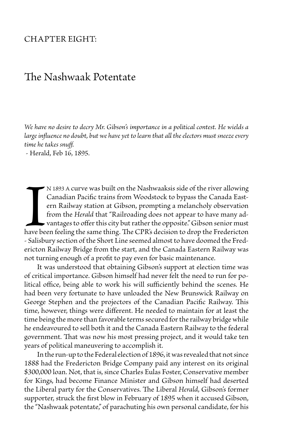## Chapter Eight:

## The Nashwaak Potentate

*We have no desire to decry Mr. Gibson's importance in a political contest. He wields a large influence no doubt, but we have yet to learn that all the electors must sneeze every time he takes snuff.*

- Herald, Feb 16, 1895.

**I**<br>have be<br>- Salisbu n 1893 a curve was built on the Nashwaaksis side of the river allowing Canadian Pacific trains from Woodstock to bypass the Canada Eastern Railway station at Gibson, prompting a melancholy observation from the *Herald* that "Railroading does not appear to have many ad- $\blacktriangleright$  vantages to offer this city but rather the opposite." Gibson senior must have been feeling the same thing. The CPR's decision to drop the Fredericton - Salisbury section of the Short Line seemed almost to have doomed the Fredericton Railway Bridge from the start, and the Canada Eastern Railway was not turning enough of a profit to pay even for basic maintenance.

 It was understood that obtaining Gibson's support at election time was of critical importance. Gibson himself had never felt the need to run for political office, being able to work his will sufficiently behind the scenes. He had been very fortunate to have unloaded the New Brunswick Railway on George Stephen and the projectors of the Canadian Pacific Railway. This time, however, things were different. He needed to maintain for at least the time being the more than favorable terms secured for the railway bridge while he endeavoured to sell both it and the Canada Eastern Railway to the federal government. That was now his most pressing project, and it would take ten years of political maneuvering to accomplish it.

 In the run-up to the Federal election of 1896, it was revealed that not since 1888 had the Fredericton Bridge Company paid any interest on its original \$300,000 loan. Not, that is, since Charles Eulas Foster, Conservative member for Kings, had become Finance Minister and Gibson himself had deserted the Liberal party for the Conservatives. The Liberal *Herald*, Gibson's former supporter, struck the first blow in February of 1895 when it accused Gibson, the "Nashwaak potentate," of parachuting his own personal candidate, for his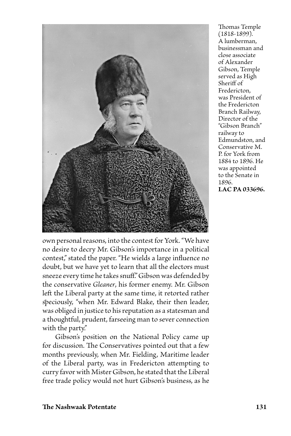

Thomas Temple (1818-1899). A lumberman, businessman and close associate of Alexander Gibson, Temple served as High Sheriff of Fredericton, was President of the Fredericton Branch Railway, Director of the "Gibson Branch" railway to Edmundston, and Conservative M. P. for York from 1884 to 1896. He was appointed to the Senate in 1896. **LAC PA 033696.**

own personal reasons, into the contest for York. "We have no desire to decry Mr. Gibson's importance in a political contest," stated the paper. "He wields a large influence no doubt, but we have yet to learn that all the electors must sneeze every time he takes snuff." Gibson was defended by the conservative *Gleaner*, his former enemy. Mr. Gibson left the Liberal party at the same time, it retorted rather speciously, "when Mr. Edward Blake, their then leader, was obliged in justice to his reputation as a statesman and a thoughtful, prudent, farseeing man to sever connection with the party."

 Gibson's position on the National Policy came up for discussion. The Conservatives pointed out that a few months previously, when Mr. Fielding, Maritime leader of the Liberal party, was in Fredericton attempting to curry favor with Mister Gibson, he stated that the Liberal free trade policy would not hurt Gibson's business, as he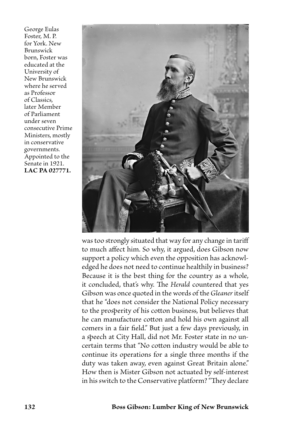George Eulas Foster, M. P. for York. New Brunswick born, Foster was educated at the University of New Brunswick where he served as Professor of Classics, later Member of Parliament under seven consecutive Prime Ministers, mostly in conservative governments. Appointed to the Senate in 1921. **LAC PA 027771.**



was too strongly situated that way for any change in tariff to much affect him. So why, it argued, does Gibson now support a policy which even the opposition has acknowledged he does not need to continue healthily in business? Because it is the best thing for the country as a whole, it concluded, that's why. The *Herald* countered that yes Gibson was once quoted in the words of the *Gleaner* itself that he "does not consider the National Policy necessary to the prosperity of his cotton business, but believes that he can manufacture cotton and hold his own against all comers in a fair field." But just a few days previously, in a speech at City Hall, did not Mr. Foster state in no uncertain terms that "No cotton industry would be able to continue its operations for a single three months if the duty was taken away, even against Great Britain alone." How then is Mister Gibson not actuated by self-interest in his switch to the Conservative platform? "They declare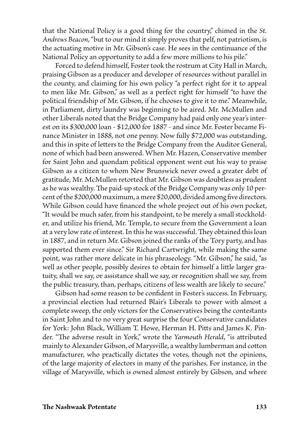that the National Policy is a good thing for the country," chimed in the *St. Andrews Beacon*, "but to our mind it simply proves that pelf, not patriotism, is the actuating motive in Mr. Gibson's case. He sees in the continuance of the National Policy an opportunity to add a few more millions to his pile."

Forced to defend himself, Foster took the rostrum at City Hall in March, praising Gibson as a producer and developer of resources without parallel in the county, and claiming for his own policy "a perfect right for it to appeal to men like Mr. Gibson," as well as a perfect right for himself "to have the political friendship of Mr. Gibson, if he chooses to give it to me." Meanwhile, in Parliament, dirty laundry was beginning to be aired. Mr. McMullen and other Liberals noted that the Bridge Company had paid only one year's interest on its \$300,000 loan - \$12,000 for 1887 - and since Mr. Foster became Finance Minister in 1888, not one penny. Now fully \$72,000 was outstanding, and this in spite of letters to the Bridge Company from the Auditor General, none of which had been answered. When Mr. Hazen, Conservative member for Saint John and quondam political opponent went out his way to praise Gibson as a citizen to whom New Brunswick never owed a greater debt of gratitude, Mr. McMullen retorted that Mr. Gibson was doubtless as prudent as he was wealthy. The paid-up stock of the Bridge Company was only 10 percent of the \$200,000 maximum, a mere \$20,000, divided among five directors. While Gibson could have financed the whole project out of his own pocket, "It would be much safer, from his standpoint, to be merely a small stockholder, and utilize his friend, Mr. Temple, to secure from the Government a loan at a very low rate of interest. In this he was successful. They obtained this loan in 1887, and in return Mr. Gibson joined the ranks of the Tory party, and has supported them ever since." Sir Richard Cartwright, while making the same point, was rather more delicate in his phraseology. "Mr. Gibson," he said, "as well as other people, possibly desires to obtain for himself a little larger gratuity, shall we say, or assistance shall we say, or recognition shall we say, from the public treasury, than, perhaps, citizens of less wealth are likely to secure."

 Gibson had some reason to be confident in Foster's success. In February, a provincial election had returned Blair's Liberals to power with almost a complete sweep, the only victors for the Conservatives being the contestants in Saint John and to no very great surprise the four Conservative candidates for York: John Black, William T. Howe, Herman H. Pitts and James K. Pinder. "The adverse result in York," wrote the *Yarmouth Herald*, "is attributed mainly to Alexander Gibson, of Marysville, a wealthy lumberman and cotton manufacturer, who practically dictates the votes, though not the opinions, of the large majority of electors in many of the parishes. For instance, in the village of Marysville, which is owned almost entirely by Gibson, and where